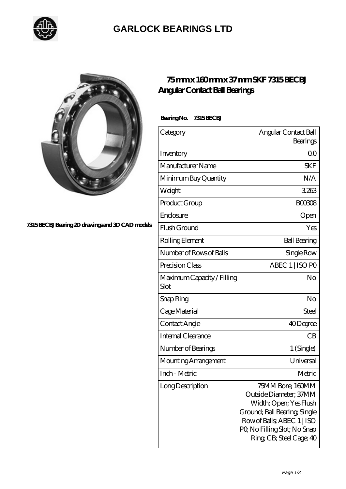

## **[GARLOCK BEARINGS LTD](https://letterstopriests.com)**



**[7315 BECBJ Bearing 2D drawings and 3D CAD models](https://letterstopriests.com/pic-187067.html)**

## **[75 mm x 160 mm x 37 mm SKF 7315 BECBJ](https://letterstopriests.com/aI-187067-skf-7315-becbj-angular-contact-ball-bearings.html) [Angular Contact Ball Bearings](https://letterstopriests.com/aI-187067-skf-7315-becbj-angular-contact-ball-bearings.html)**

 **Bearing No. 7315 BECBJ**

| Category                           | Angular Contact Ball<br>Bearings                                                                                                                                                             |
|------------------------------------|----------------------------------------------------------------------------------------------------------------------------------------------------------------------------------------------|
| Inventory                          | 0 <sup>0</sup>                                                                                                                                                                               |
| Manufacturer Name                  | <b>SKF</b>                                                                                                                                                                                   |
| Minimum Buy Quantity               | N/A                                                                                                                                                                                          |
| Weight                             | 3263                                                                                                                                                                                         |
| Product Group                      | <b>BOO3O8</b>                                                                                                                                                                                |
| Enclosure                          | Open                                                                                                                                                                                         |
| Flush Ground                       | Yes                                                                                                                                                                                          |
| Rolling Element                    | <b>Ball Bearing</b>                                                                                                                                                                          |
| Number of Rows of Balls            | Single Row                                                                                                                                                                                   |
| Precision Class                    | ABEC 1   ISO PO                                                                                                                                                                              |
| Maximum Capacity / Filling<br>Slot | No                                                                                                                                                                                           |
| Snap Ring                          | No                                                                                                                                                                                           |
| Cage Material                      | Steel                                                                                                                                                                                        |
| Contact Angle                      | 40Degree                                                                                                                                                                                     |
| Internal Clearance                 | CB                                                                                                                                                                                           |
| Number of Bearings                 | 1 (Single)                                                                                                                                                                                   |
| Mounting Arrangement               | Universal                                                                                                                                                                                    |
| Inch - Metric                      | Metric                                                                                                                                                                                       |
| Long Description                   | 75MM Bore; 160MM<br>Outside Diameter; 37MM<br>Width; Open; Yes Flush<br>Ground; Ball Bearing; Single<br>Row of Balls, ABEC 1   ISO<br>PQ No Filling Slot; No Snap<br>Ring CB; Steel Cage; 40 |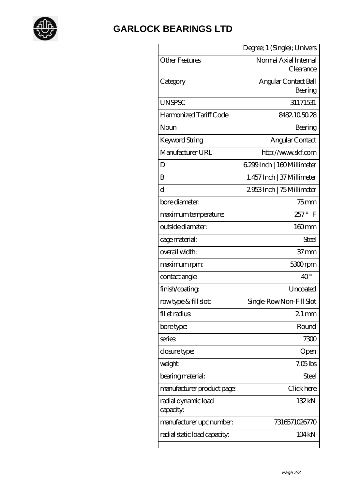

## **[GARLOCK BEARINGS LTD](https://letterstopriests.com)**

|                                  | Degree; 1 (Single); Univers        |
|----------------------------------|------------------------------------|
| <b>Other Features</b>            | Normal Axial Internal<br>Clearance |
| Category                         | Angular Contact Ball<br>Bearing    |
| <b>UNSPSC</b>                    | 31171531                           |
| Harmonized Tariff Code           | 8482105028                         |
| Noun                             | Bearing                            |
| Keyword String                   | Angular Contact                    |
| Manufacturer URL                 | http://www.skf.com                 |
| D                                | 6.299 Inch   160 Millimeter        |
| B                                | 1.457 Inch   37 Millimeter         |
| $\rm d$                          | 2953Inch   75 Millimeter           |
| bore diameter:                   | $75$ mm                            |
| maximum temperature:             | $257^\circ$<br>F                   |
| outside diameter:                | 160mm                              |
| cage material:                   | <b>Steel</b>                       |
| overall width:                   | 37 <sub>mm</sub>                   |
| maximum rpm:                     | 5300rpm                            |
| contact angle:                   | $40^{\circ}$                       |
| finish/coating                   | Uncoated                           |
| rowtype & fill slot:             | Single-RowNon-Fill Slot            |
| fillet radius                    | $21$ mm                            |
| bore type:                       | Round                              |
| series                           | 7300                               |
| closure type:                    | Open                               |
| weight:                          | $7.05$ lbs                         |
| bearing material:                | Steel                              |
| manufacturer product page:       | Click here                         |
| radial dynamic load<br>capacity: | 132kN                              |
| manufacturer upc number:         | 7316571026770                      |
| radial static load capacity:     | 104 kN                             |
|                                  |                                    |